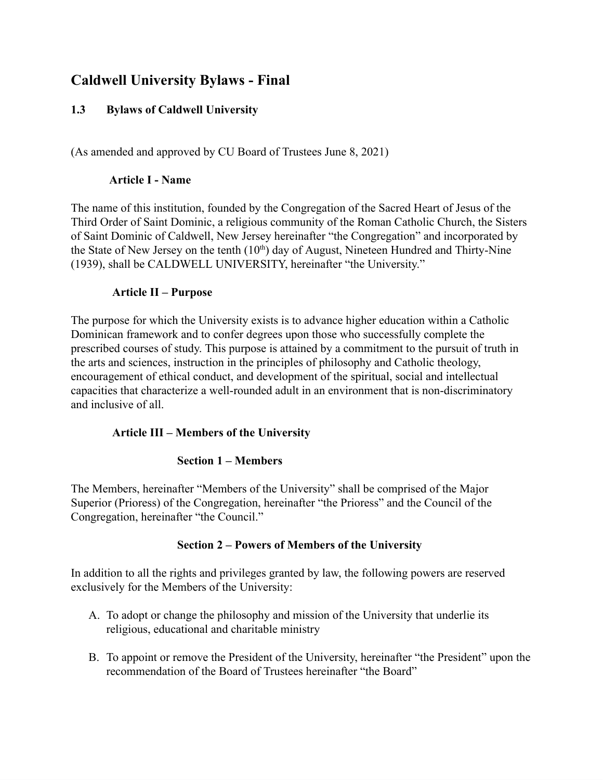# **Caldwell University Bylaws - Final**

# **1.3 Bylaws of Caldwell University**

(As amended and approved by CU Board of Trustees June 8, 2021)

### **Article I - Name**

The name of this institution, founded by the Congregation of the Sacred Heart of Jesus of the Third Order of Saint Dominic, a religious community of the Roman Catholic Church, the Sisters of Saint Dominic of Caldwell, New Jersey hereinafter "the Congregation" and incorporated by the State of New Jersey on the tenth  $(10<sup>th</sup>)$  day of August, Nineteen Hundred and Thirty-Nine (1939), shall be CALDWELL UNIVERSITY, hereinafter "the University."

### **Article II – Purpose**

The purpose for which the University exists is to advance higher education within a Catholic Dominican framework and to confer degrees upon those who successfully complete the prescribed courses of study. This purpose is attained by a commitment to the pursuit of truth in the arts and sciences, instruction in the principles of philosophy and Catholic theology, encouragement of ethical conduct, and development of the spiritual, social and intellectual capacities that characterize a well-rounded adult in an environment that is non-discriminatory and inclusive of all.

# **Article III – Members of the University**

# **Section 1 – Members**

The Members, hereinafter "Members of the University" shall be comprised of the Major Superior (Prioress) of the Congregation, hereinafter "the Prioress" and the Council of the Congregation, hereinafter "the Council."

# **Section 2 – Powers of Members of the University**

In addition to all the rights and privileges granted by law, the following powers are reserved exclusively for the Members of the University:

- A. To adopt or change the philosophy and mission of the University that underlie its religious, educational and charitable ministry
- B. To appoint or remove the President of the University, hereinafter "the President" upon the recommendation of the Board of Trustees hereinafter "the Board"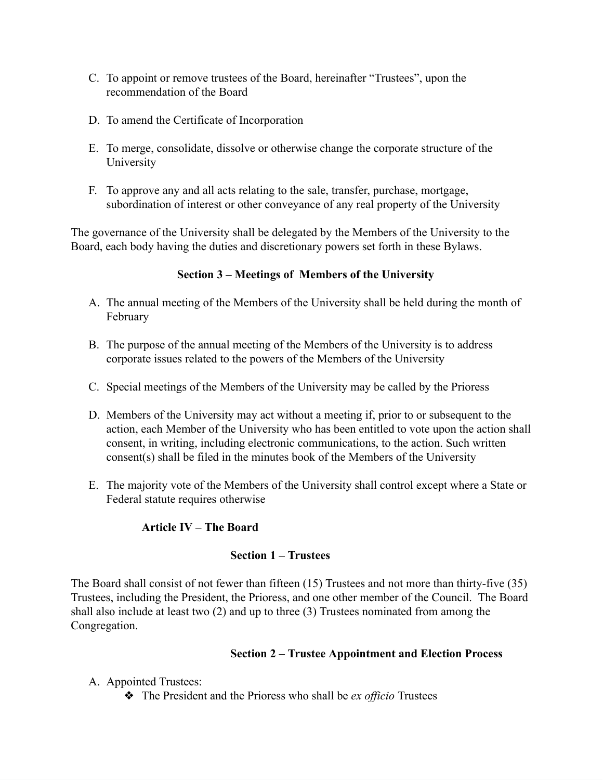- C. To appoint or remove trustees of the Board, hereinafter "Trustees", upon the recommendation of the Board
- D. To amend the Certificate of Incorporation
- E. To merge, consolidate, dissolve or otherwise change the corporate structure of the University
- F. To approve any and all acts relating to the sale, transfer, purchase, mortgage, subordination of interest or other conveyance of any real property of the University

The governance of the University shall be delegated by the Members of the University to the Board, each body having the duties and discretionary powers set forth in these Bylaws.

# **Section 3 – Meetings of Members of the University**

- A. The annual meeting of the Members of the University shall be held during the month of February
- B. The purpose of the annual meeting of the Members of the University is to address corporate issues related to the powers of the Members of the University
- C. Special meetings of the Members of the University may be called by the Prioress
- D. Members of the University may act without a meeting if, prior to or subsequent to the action, each Member of the University who has been entitled to vote upon the action shall consent, in writing, including electronic communications, to the action. Such written consent(s) shall be filed in the minutes book of the Members of the University
- E. The majority vote of the Members of the University shall control except where a State or Federal statute requires otherwise

# **Article IV – The Board**

### **Section 1 – Trustees**

The Board shall consist of not fewer than fifteen (15) Trustees and not more than thirty-five (35) Trustees, including the President, the Prioress, and one other member of the Council. The Board shall also include at least two (2) and up to three (3) Trustees nominated from among the Congregation.

### **Section 2 – Trustee Appointment and Election Process**

- A. Appointed Trustees:
	- ❖ The President and the Prioress who shall be *ex officio* Trustees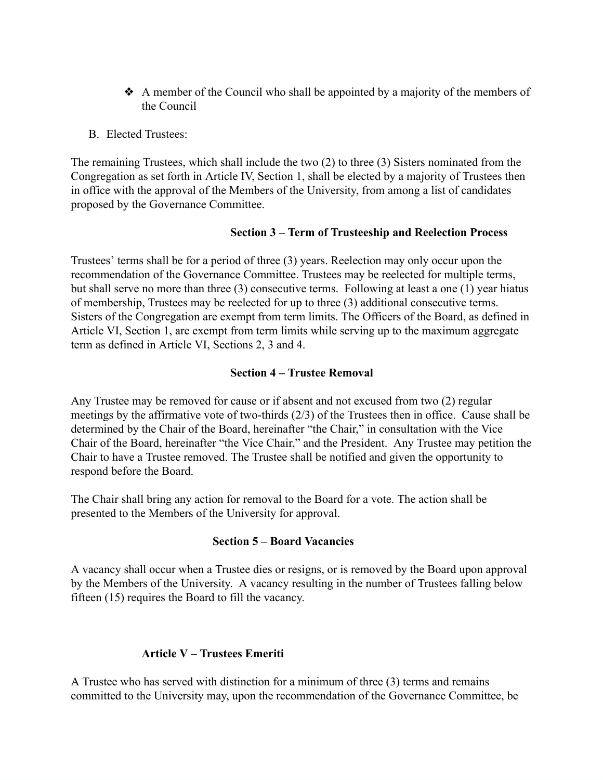- ❖ A member of the Council who shall be appointed by a majority of the members of the Council
- B. Elected Trustees:

The remaining Trustees, which shall include the two (2) to three (3) Sisters nominated from the Congregation as set forth in Article IV, Section 1, shall be elected by a majority of Trustees then in office with the approval of the Members of the University, from among a list of candidates proposed by the Governance Committee.

#### **Section 3 – Term of Trusteeship and Reelection Process**

Trustees' terms shall be for a period of three (3) years. Reelection may only occur upon the recommendation of the Governance Committee. Trustees may be reelected for multiple terms, but shall serve no more than three (3) consecutive terms. Following at least a one (1) year hiatus of membership, Trustees may be reelected for up to three (3) additional consecutive terms. Sisters of the Congregation are exempt from term limits. The Officers of the Board, as defined in Article VI, Section 1, are exempt from term limits while serving up to the maximum aggregate term as defined in Article VI, Sections 2, 3 and 4.

#### **Section 4 – Trustee Removal**

Any Trustee may be removed for cause or if absent and not excused from two (2) regular meetings by the affirmative vote of two-thirds (2/3) of the Trustees then in office. Cause shall be determined by the Chair of the Board, hereinafter "the Chair," in consultation with the Vice Chair of the Board, hereinafter "the Vice Chair," and the President. Any Trustee may petition the Chair to have a Trustee removed. The Trustee shall be notified and given the opportunity to respond before the Board.

The Chair shall bring any action for removal to the Board for a vote. The action shall be presented to the Members of the University for approval.

### **Section 5 – Board Vacancies**

A vacancy shall occur when a Trustee dies or resigns, or is removed by the Board upon approval by the Members of the University. A vacancy resulting in the number of Trustees falling below fifteen (15) requires the Board to fill the vacancy.

### **Article V – Trustees Emeriti**

A Trustee who has served with distinction for a minimum of three (3) terms and remains committed to the University may, upon the recommendation of the Governance Committee, be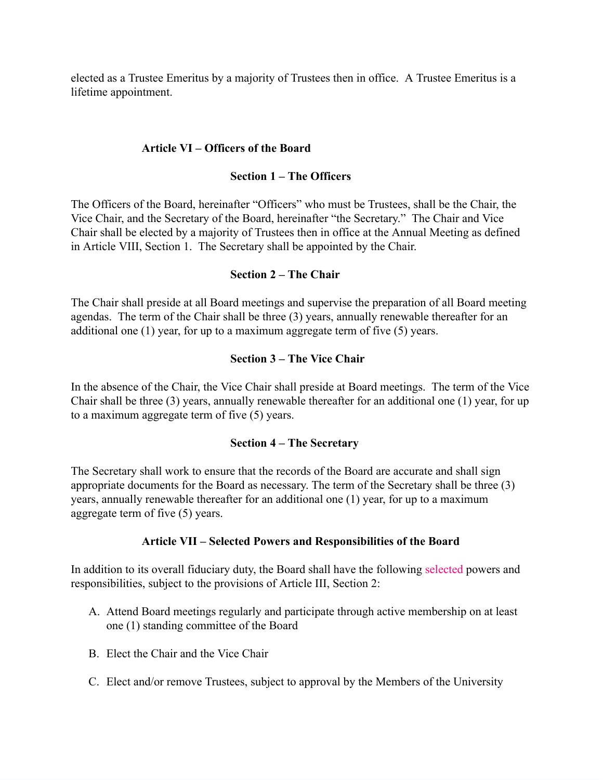elected as a Trustee Emeritus by a majority of Trustees then in office. A Trustee Emeritus is a lifetime appointment.

### **Article VI – Officers of the Board**

### **Section 1 – The Officers**

The Officers of the Board, hereinafter "Officers" who must be Trustees, shall be the Chair, the Vice Chair, and the Secretary of the Board, hereinafter "the Secretary." The Chair and Vice Chair shall be elected by a majority of Trustees then in office at the Annual Meeting as defined in Article VIII, Section 1. The Secretary shall be appointed by the Chair.

### **Section 2 – The Chair**

The Chair shall preside at all Board meetings and supervise the preparation of all Board meeting agendas. The term of the Chair shall be three (3) years, annually renewable thereafter for an additional one (1) year, for up to a maximum aggregate term of five (5) years.

#### **Section 3 – The Vice Chair**

In the absence of the Chair, the Vice Chair shall preside at Board meetings. The term of the Vice Chair shall be three (3) years, annually renewable thereafter for an additional one (1) year, for up to a maximum aggregate term of five (5) years.

#### **Section 4 – The Secretary**

The Secretary shall work to ensure that the records of the Board are accurate and shall sign appropriate documents for the Board as necessary. The term of the Secretary shall be three (3) years, annually renewable thereafter for an additional one (1) year, for up to a maximum aggregate term of five (5) years.

### **Article VII – Selected Powers and Responsibilities of the Board**

In addition to its overall fiduciary duty, the Board shall have the following selected powers and responsibilities, subject to the provisions of Article III, Section 2:

- A. Attend Board meetings regularly and participate through active membership on at least one (1) standing committee of the Board
- B. Elect the Chair and the Vice Chair
- C. Elect and/or remove Trustees, subject to approval by the Members of the University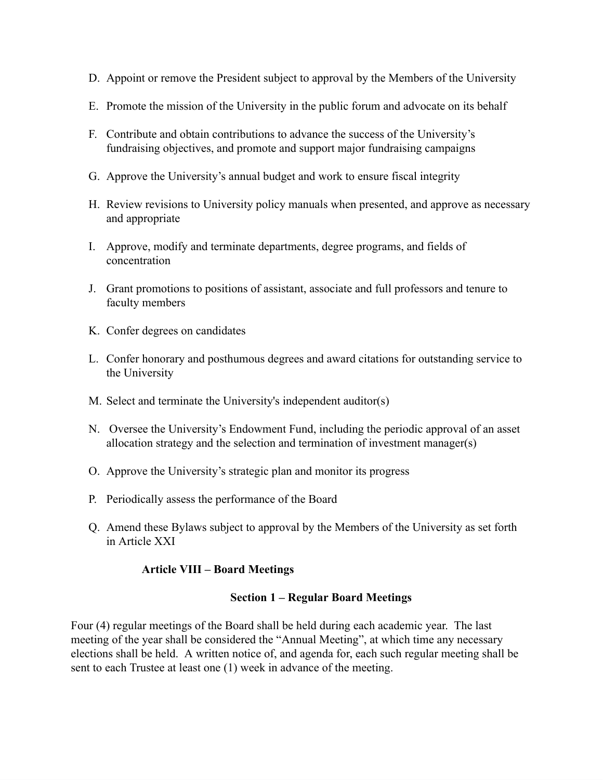- D. Appoint or remove the President subject to approval by the Members of the University
- E. Promote the mission of the University in the public forum and advocate on its behalf
- F. Contribute and obtain contributions to advance the success of the University's fundraising objectives, and promote and support major fundraising campaigns
- G. Approve the University's annual budget and work to ensure fiscal integrity
- H. Review revisions to University policy manuals when presented, and approve as necessary and appropriate
- I. Approve, modify and terminate departments, degree programs, and fields of concentration
- J. Grant promotions to positions of assistant, associate and full professors and tenure to faculty members
- K. Confer degrees on candidates
- L. Confer honorary and posthumous degrees and award citations for outstanding service to the University
- M. Select and terminate the University's independent auditor(s)
- N. Oversee the University's Endowment Fund, including the periodic approval of an asset allocation strategy and the selection and termination of investment manager(s)
- O. Approve the University's strategic plan and monitor its progress
- P. Periodically assess the performance of the Board
- Q. Amend these Bylaws subject to approval by the Members of the University as set forth in Article XXI

### **Article VIII – Board Meetings**

#### **Section 1 – Regular Board Meetings**

Four (4) regular meetings of the Board shall be held during each academic year. The last meeting of the year shall be considered the "Annual Meeting", at which time any necessary elections shall be held. A written notice of, and agenda for, each such regular meeting shall be sent to each Trustee at least one (1) week in advance of the meeting.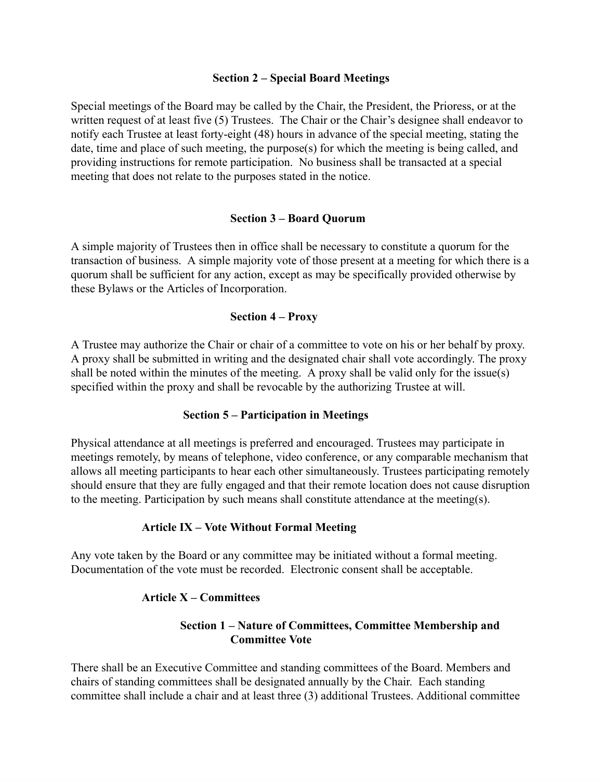#### **Section 2 – Special Board Meetings**

Special meetings of the Board may be called by the Chair, the President, the Prioress, or at the written request of at least five (5) Trustees. The Chair or the Chair's designee shall endeavor to notify each Trustee at least forty-eight (48) hours in advance of the special meeting, stating the date, time and place of such meeting, the purpose(s) for which the meeting is being called, and providing instructions for remote participation. No business shall be transacted at a special meeting that does not relate to the purposes stated in the notice.

#### **Section 3 – Board Quorum**

A simple majority of Trustees then in office shall be necessary to constitute a quorum for the transaction of business. A simple majority vote of those present at a meeting for which there is a quorum shall be sufficient for any action, except as may be specifically provided otherwise by these Bylaws or the Articles of Incorporation.

#### **Section 4 – Proxy**

A Trustee may authorize the Chair or chair of a committee to vote on his or her behalf by proxy. A proxy shall be submitted in writing and the designated chair shall vote accordingly. The proxy shall be noted within the minutes of the meeting. A proxy shall be valid only for the issue(s) specified within the proxy and shall be revocable by the authorizing Trustee at will.

#### **Section 5 – Participation in Meetings**

Physical attendance at all meetings is preferred and encouraged. Trustees may participate in meetings remotely, by means of telephone, video conference, or any comparable mechanism that allows all meeting participants to hear each other simultaneously. Trustees participating remotely should ensure that they are fully engaged and that their remote location does not cause disruption to the meeting. Participation by such means shall constitute attendance at the meeting(s).

#### **Article IX – Vote Without Formal Meeting**

Any vote taken by the Board or any committee may be initiated without a formal meeting. Documentation of the vote must be recorded. Electronic consent shall be acceptable.

### **Article X – Committees**

### **Section 1 – Nature of Committees, Committee Membership and Committee Vote**

There shall be an Executive Committee and standing committees of the Board. Members and chairs of standing committees shall be designated annually by the Chair. Each standing committee shall include a chair and at least three (3) additional Trustees. Additional committee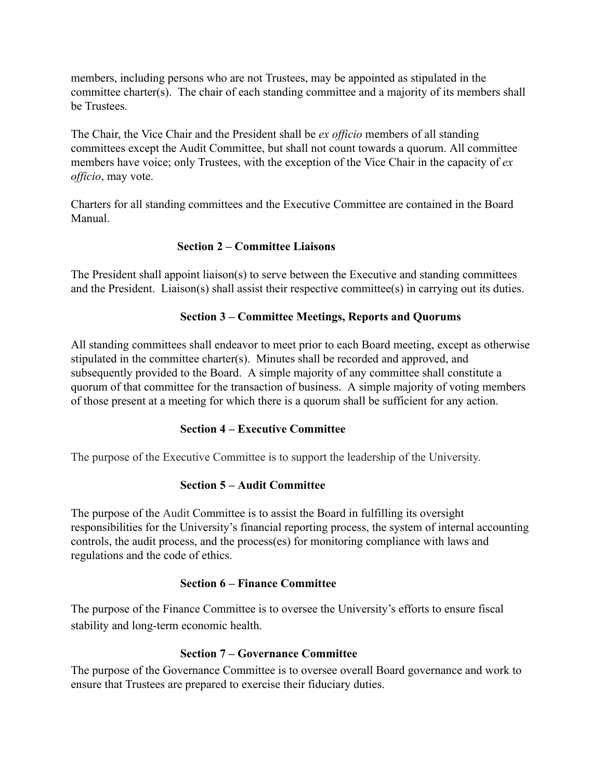members, including persons who are not Trustees, may be appointed as stipulated in the committee charter(s). The chair of each standing committee and a majority of its members shall be Trustees.

The Chair, the Vice Chair and the President shall be *ex officio* members of all standing committees except the Audit Committee, but shall not count towards a quorum. All committee members have voice; only Trustees, with the exception of the Vice Chair in the capacity of *ex officio*, may vote.

Charters for all standing committees and the Executive Committee are contained in the Board Manual.

### **Section 2 – Committee Liaisons**

The President shall appoint liaison(s) to serve between the Executive and standing committees and the President. Liaison(s) shall assist their respective committee(s) in carrying out its duties.

# **Section 3 – Committee Meetings, Reports and Quorums**

All standing committees shall endeavor to meet prior to each Board meeting, except as otherwise stipulated in the committee charter(s). Minutes shall be recorded and approved, and subsequently provided to the Board. A simple majority of any committee shall constitute a quorum of that committee for the transaction of business. A simple majority of voting members of those present at a meeting for which there is a quorum shall be sufficient for any action.

### **Section 4 – Executive Committee**

The purpose of the Executive Committee is to support the leadership of the University.

# **Section 5 – Audit Committee**

The purpose of the Audit Committee is to assist the Board in fulfilling its oversight responsibilities for the University's financial reporting process, the system of internal accounting controls, the audit process, and the process(es) for monitoring compliance with laws and regulations and the code of ethics.

### **Section 6 – Finance Committee**

The purpose of the Finance Committee is to oversee the University's efforts to ensure fiscal stability and long-term economic health.

### **Section 7 – Governance Committee**

The purpose of the Governance Committee is to oversee overall Board governance and work to ensure that Trustees are prepared to exercise their fiduciary duties.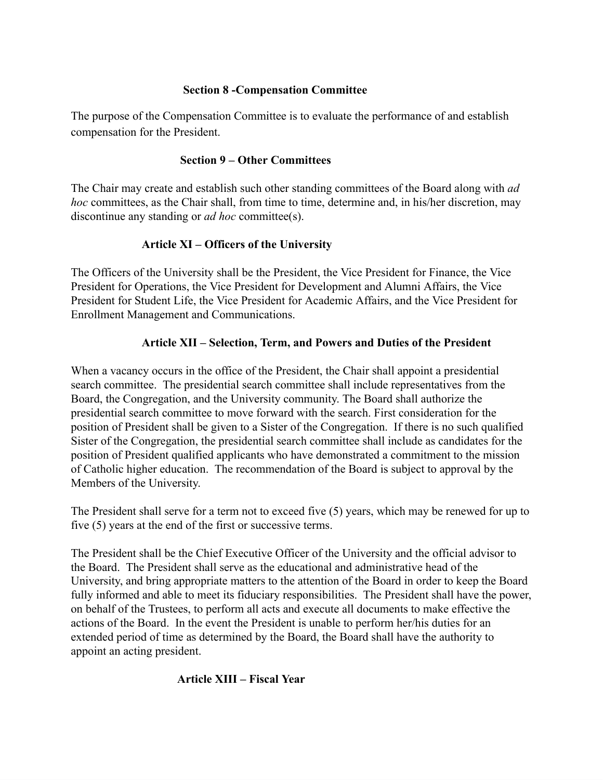### **Section 8 -Compensation Committee**

The purpose of the Compensation Committee is to evaluate the performance of and establish compensation for the President.

### **Section 9 – Other Committees**

The Chair may create and establish such other standing committees of the Board along with *ad hoc* committees, as the Chair shall, from time to time, determine and, in his/her discretion, may discontinue any standing or *ad hoc* committee(s).

# **Article XI – Officers of the University**

The Officers of the University shall be the President, the Vice President for Finance, the Vice President for Operations, the Vice President for Development and Alumni Affairs, the Vice President for Student Life, the Vice President for Academic Affairs, and the Vice President for Enrollment Management and Communications.

# **Article XII – Selection, Term, and Powers and Duties of the President**

When a vacancy occurs in the office of the President, the Chair shall appoint a presidential search committee. The presidential search committee shall include representatives from the Board, the Congregation, and the University community. The Board shall authorize the presidential search committee to move forward with the search. First consideration for the position of President shall be given to a Sister of the Congregation. If there is no such qualified Sister of the Congregation, the presidential search committee shall include as candidates for the position of President qualified applicants who have demonstrated a commitment to the mission of Catholic higher education. The recommendation of the Board is subject to approval by the Members of the University.

The President shall serve for a term not to exceed five (5) years, which may be renewed for up to five (5) years at the end of the first or successive terms.

The President shall be the Chief Executive Officer of the University and the official advisor to the Board. The President shall serve as the educational and administrative head of the University, and bring appropriate matters to the attention of the Board in order to keep the Board fully informed and able to meet its fiduciary responsibilities. The President shall have the power, on behalf of the Trustees, to perform all acts and execute all documents to make effective the actions of the Board. In the event the President is unable to perform her/his duties for an extended period of time as determined by the Board, the Board shall have the authority to appoint an acting president.

### **Article XIII – Fiscal Year**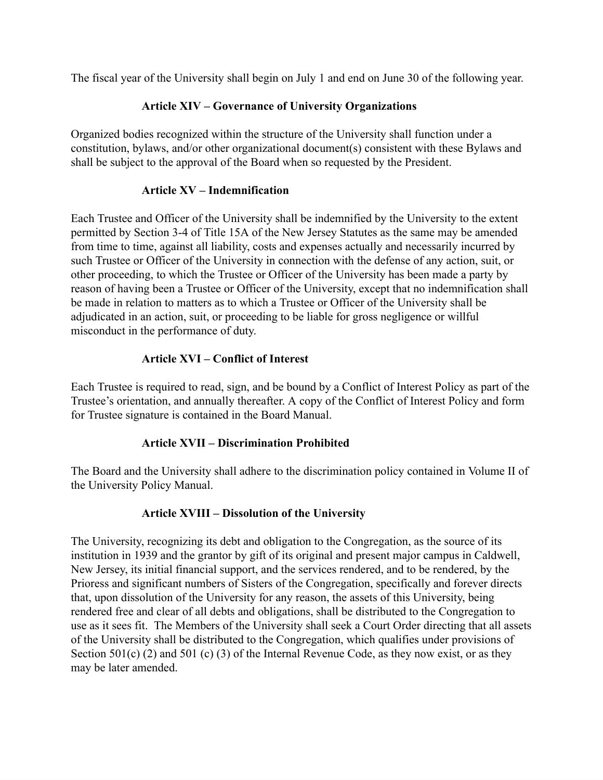The fiscal year of the University shall begin on July 1 and end on June 30 of the following year.

### **Article XIV – Governance of University Organizations**

Organized bodies recognized within the structure of the University shall function under a constitution, bylaws, and/or other organizational document(s) consistent with these Bylaws and shall be subject to the approval of the Board when so requested by the President.

### **Article XV – Indemnification**

Each Trustee and Officer of the University shall be indemnified by the University to the extent permitted by Section 3-4 of Title 15A of the New Jersey Statutes as the same may be amended from time to time, against all liability, costs and expenses actually and necessarily incurred by such Trustee or Officer of the University in connection with the defense of any action, suit, or other proceeding, to which the Trustee or Officer of the University has been made a party by reason of having been a Trustee or Officer of the University, except that no indemnification shall be made in relation to matters as to which a Trustee or Officer of the University shall be adjudicated in an action, suit, or proceeding to be liable for gross negligence or willful misconduct in the performance of duty.

### **Article XVI – Conflict of Interest**

Each Trustee is required to read, sign, and be bound by a Conflict of Interest Policy as part of the Trustee's orientation, and annually thereafter. A copy of the Conflict of Interest Policy and form for Trustee signature is contained in the Board Manual.

### **Article XVII – Discrimination Prohibited**

The Board and the University shall adhere to the discrimination policy contained in Volume II of the University Policy Manual.

### **Article XVIII – Dissolution of the University**

The University, recognizing its debt and obligation to the Congregation, as the source of its institution in 1939 and the grantor by gift of its original and present major campus in Caldwell, New Jersey, its initial financial support, and the services rendered, and to be rendered, by the Prioress and significant numbers of Sisters of the Congregation, specifically and forever directs that, upon dissolution of the University for any reason, the assets of this University, being rendered free and clear of all debts and obligations, shall be distributed to the Congregation to use as it sees fit. The Members of the University shall seek a Court Order directing that all assets of the University shall be distributed to the Congregation, which qualifies under provisions of Section 501(c) (2) and 501 (c) (3) of the Internal Revenue Code, as they now exist, or as they may be later amended.